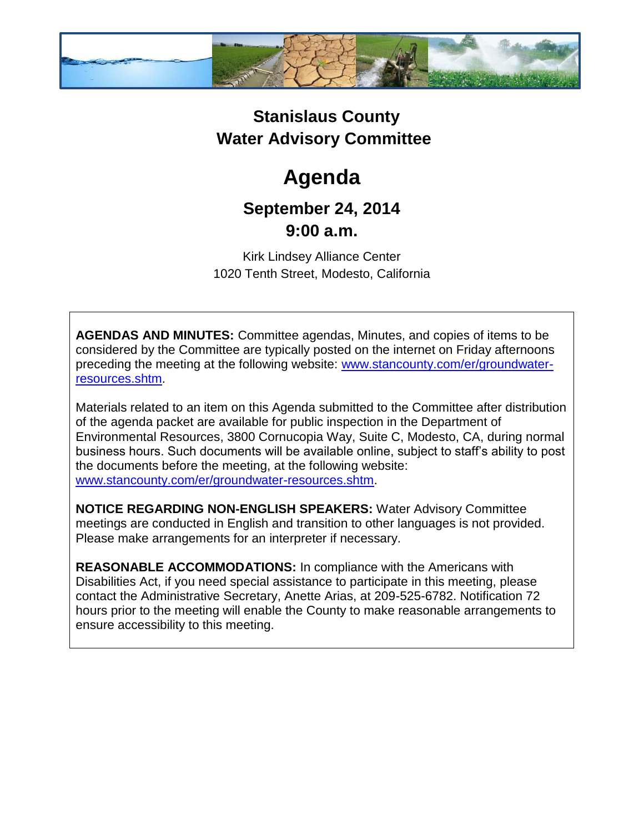

## **Stanislaus County Water Advisory Committee**

# **Agenda**

### **September 24, 2014 9:00 a.m.**

Kirk Lindsey Alliance Center 1020 Tenth Street, Modesto, California

**AGENDAS AND MINUTES:** Committee agendas, Minutes, and copies of items to be considered by the Committee are typically posted on the internet on Friday afternoons preceding the meeting at the following website: [www.stancounty.com/er/groundwater](http://www.stancounty.com/er/groundwater-resources.shtm)[resources.shtm.](http://www.stancounty.com/er/groundwater-resources.shtm)

Materials related to an item on this Agenda submitted to the Committee after distribution of the agenda packet are available for public inspection in the Department of Environmental Resources, 3800 Cornucopia Way, Suite C, Modesto, CA, during normal business hours. Such documents will be available online, subject to staff's ability to post the documents before the meeting, at the following website: [www.stancounty.com/er/groundwater-resources.shtm.](http://www.stancounty.com/er/groundwater-resources.shtm)

**NOTICE REGARDING NON-ENGLISH SPEAKERS:** Water Advisory Committee meetings are conducted in English and transition to other languages is not provided. Please make arrangements for an interpreter if necessary.

**REASONABLE ACCOMMODATIONS:** In compliance with the Americans with Disabilities Act, if you need special assistance to participate in this meeting, please contact the Administrative Secretary, Anette Arias, at 209-525-6782. Notification 72 hours prior to the meeting will enable the County to make reasonable arrangements to ensure accessibility to this meeting.